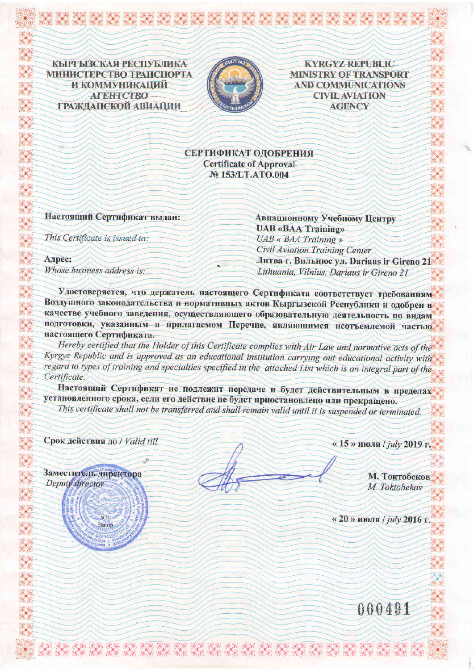КЫРГЫЗСКАЯ РЕСПУБЛИКА МИНИСТЕРСТВО ТРАНСПОРТА **И КОММУНИКАЦИЙ ATEHTCTBO-**ГРАЖДАНСКОЙ АВИАЦИИ

œ



**KYRGYZ REPUBLIC MINISTRY OF TRANSPORT AND COMMUNICATIONS CIVIL AVIATION AGENCY** 

СЕРТИФИКАТ ОДОБРЕНИЯ **Certificate of Approval** № 153/LT.ATO.004

Настоящий Сертификат выдан:

This Certificate is issued to:

Адрес: Whose business address is: Авиационному Учебному Центру **UAB «BAA Training» UAB** « **BAA** Training » **Civil Aviation Training Center** Литва г. Вильнюс ул. Dariaus ir Gireno 21 Lithuania, Vilnius, Dariaus ir Gireno 21

Удостоверяется, что держатель настоящего Сертификата соответствует требованиям Воздушного законодательства и нормативных актов Кыргызской Республики и одобрен в качестве учебного заведения, осуществляющего образовательную деятельность по видам подготовки, указанным в прилагаемом Перечне, являющимся неотъемлемой частью настоящего Сертификата.

Hereby certified that the Holder of this Certificate complies with Air Law and normative acts of the Kyrgyz Republic and is approved as an educational institution carrying out educational activity with regard to types of training and specialties specified in the attached List which is an integral part of the Certificate.

Настоящий Сертификат не подлежит передаче и будет действительным в пределах установленного срока, если его действие не будет приостановлено или прекращено. This certificate shall not be transferred and shall remain valid until it is suspended or terminated.

KK KK KK KK KK KK KK KK

Срок действия до / Valid till

Заместитель директора

 $M$  $\Pi$ 

Stamp

Deputy director

«15» июля / july 2019 г.

М. Токтобеков M. Toktobekov

«20» июля / july 2016 г.

000491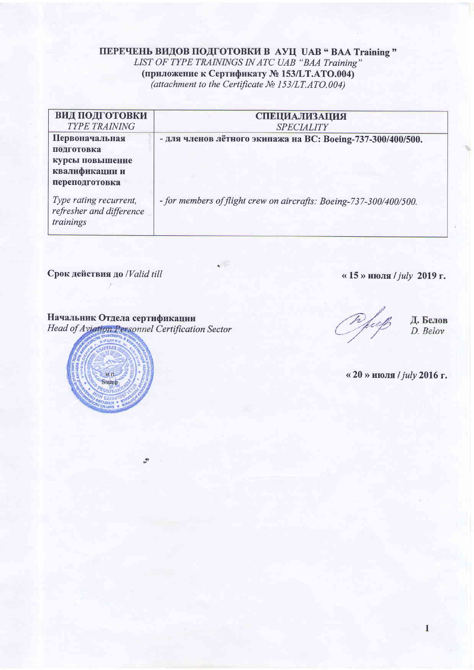### ПЕРЕЧЕНЬ ВИДОВ ПОДГОТОВКИ В АУЦ UAB " ВАА Training " LIST OF TYPE TRAININGS IN ATC UAB "BAA Training" (приложение к Сертификату № 153/LT.ATO.004) (attachment to the Certificate  $N_2$  153/LT.ATO.004)

| <b>ВИД ПОДГОТОВКИ</b><br><b>TYPE TRAINING</b>                                       | <b>СПЕЦИАЛИЗАЦИЯ</b><br><b>SPECIALITY</b>                          |
|-------------------------------------------------------------------------------------|--------------------------------------------------------------------|
| Первоначальная<br>подготовка<br>курсы повышение<br>квалификации и<br>переподготовка | - для членов лётного экипажа на ВС: Boeing-737-300/400/500.        |
| Type rating recurrent,<br>refresher and difference<br>trainings                     | - for members of flight crew on aircrafts: Boeing-737-300/400/500. |

 $\zeta$  .

Срок действия до /Valid till

**ALLIE** 

 $M, \Pi$ **Stamp**  «15» июля / july 2019 г.

Начальник Отдела сертификации Head of Aviation Personnel Certification Sector

 $\mathcal{L}$ 



Д. Белов D. Belov

«20» июля /  $july$  2016 г.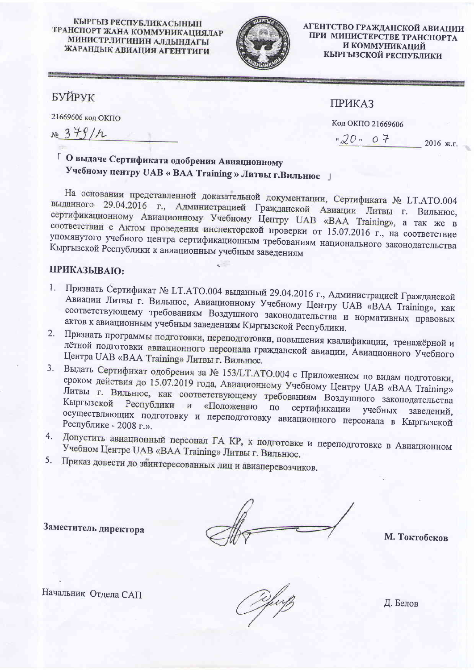#### КЫРГЫЗ РЕСПУБЛИКАСЫНЫН ТРАНСПОРТ ЖАНА КОММУНИКАЦИЯЛАР МИНИСТРЛИГИНИН АЛДЫНДАГЫ ЖАРАНДЫК АВИАЦИЯ АГЕНТТИГИ



АГЕНТСТВО ГРАЖДАНСКОЙ АВИАЦИИ ПРИ МИНИСТЕРСТВЕ ТРАНСПОРТА И КОММУНИКАЦИЙ КЫРГЫЗСКОЙ РЕСПУБЛИКИ

# БУЙРУК

21669606 код ОКПО

 $x = 379/h$ 

## **ПРИКАЗ**

Код ОКПО 21669606

 $\sqrt{20}$  = 0  $\frac{1}{7}$  2016 ж.г.

# Г О выдаче Сертификата одобрения Авиационному Учебному центру UAB « ВАА Training » Литвы г. Вильнюс J

На основании представленной доказательной документации, Сертификата № LT.ATO.004 выданного 29.04.2016 г., Администрацией Гражданской Авиации Литвы г. Вильнюс, сертификационному Авиационному Учебному Центру UAB «ВАА Training», а так же в соответствии с Актом проведения инспекторской проверки от 15.07.2016 г., на соответствие упомянутого учебного центра сертификационным требованиям национального законодательства Кыргызской Республики к авиационным учебным заведениям

#### ПРИКАЗЫВАЮ:

- 1. Признать Сертификат № LT.ATO.004 выданный 29.04.2016 г., Администрацией Гражданской Авиации Литвы г. Вильнюс, Авиационному Учебному Центру UAB «ВАА Training», как соответствующему требованиям Воздушного законодательства и нормативных правовых актов к авиационным учебным заведениям Кыргызской Республики.
- 2. Признать программы подготовки, переподготовки, повышения квалификации, тренажёрной и лётной подготовки авиационного персонала гражданской авиации, Авиационного Учебного Центра UAB «ВАА Training» Литвы г. Вильнюс.
- 3. Выдать Сертификат одобрения за № 153/LT.ATO.004 с Приложением по видам подготовки, сроком действия до 15.07.2019 года, Авиационному Учебному Центру UAB «ВАА Training» Литвы г. Вильнюс, как соответствующему требованиям Воздушного законодательства Кыргызской Республики и «Положению по сертификации учебных осуществляющих подготовку и переподготовку авиационного персонала в Кыргызской завелений. Республике - 2008 г.».
- 4. Допустить авиационный персонал ГА КР, к подготовке и переподготовке в Авиационном Учебном Центре UAB «ВАА Training» Литвы г. Вильнюс.
- 5. Приказ довести до заинтересованных лиц и авиаперевозчиков.

Заместитель директора

М. Токтобеков

Начальник Отдела САП

Д. Белов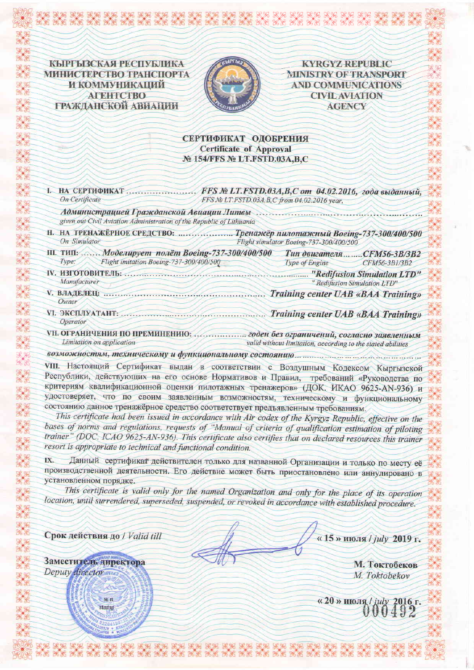КЫРГЫЗСКАЯ РЕСПУБЛИКА МИНИСТЕРСТВО ТРАНСПОРТА И КОММУНИКАЦИЙ **ATEHTCTBO** ГРАЖДАНСКОЙ АВИАЦИИ



**KYRGYZ REPUBLIC MINISTRY OF TRANSPORT AND COMMUNICATIONS CIVIL AVIATION AGENCY** 

#### СЕРТИФИКАТ ОДОБРЕНИЯ **Certificate of Approval** № 154/FFS № LT.FSTD.03A,B,C

| <b>I. НА СЕРТИФИКАТ</b><br><b>On Certificate</b>                                                                                                                                                                                                                                                                                                                                                                                       | FFS № LT.FSTD.03А, В, С от 04.02.2016, года выданный,<br>FFS No LT.FSTD.03A, B, C from 04.02.2016 year, |
|----------------------------------------------------------------------------------------------------------------------------------------------------------------------------------------------------------------------------------------------------------------------------------------------------------------------------------------------------------------------------------------------------------------------------------------|---------------------------------------------------------------------------------------------------------|
| given out Civil Aviation Administration of the Republic of Lithuania                                                                                                                                                                                                                                                                                                                                                                   |                                                                                                         |
| Н. НА ТРЕНАЖЁРНОЕ СРЕДСТВО: <i>Милиппаней Пренажёр пилотажный Boeing-737-300/400/500</i><br>On Simulator                                                                                                                                                                                                                                                                                                                               | Flight simulator Boeing-737-300/400/500                                                                 |
| Ш. ТИП:  Моделирует полёт Boeing-737-300/400/500<br>Flight imitation Boeing-737-300/400/500<br>Type:                                                                                                                                                                                                                                                                                                                                   | <b>Тип двигателяCFM56-3B/3B2</b><br>Type of Engine<br>$CFM56-3B1/3B2$                                   |
| Manufacturer                                                                                                                                                                                                                                                                                                                                                                                                                           | " Redifusion Simulation LTD"                                                                            |
| Owner                                                                                                                                                                                                                                                                                                                                                                                                                                  | Training center UAB «BAA Training»                                                                      |
| <i>Operator</i>                                                                                                                                                                                                                                                                                                                                                                                                                        | Training center UAB «BAA Training»                                                                      |
| VII. ОГРАНИЧЕНИЯ ПО ПРЕМИНЕНИЮ:  годен без ограничений, согласно заявленным<br>Limitation on application                                                                                                                                                                                                                                                                                                                               | valid without limitation, according to the stated abilities                                             |
|                                                                                                                                                                                                                                                                                                                                                                                                                                        |                                                                                                         |
| VIII. Настоящий Сертификат выдан в соответствии с Воздушным Кодексом Кыргызской<br>Республики, действующих на его основе Нормативов и Правил, требований «Руководства по<br>критериям квалификационной оценки пилотажных тренажеров» (ДОК. ИКАО 9625-AN-936) и<br>удостоверяет, что по своим заявленным возможностям, техническому и функциональному<br>состоянию данное тренажёрное средство соответствует предъявленным требованиям. |                                                                                                         |

This certificate had been issued in accordance with Air codex of the Kyrgyz Republic, effective on the bases of norms and regulations, requests of "Manual of criteria of qualification estimation of piloting trainer" (DOC. ICAO 9625-AN-936). This certificate also certifies that on declared resources this trainer resort is appropriate to technical and functional condition.

Данный сертификат действителен только для названной Организации и только по месту её IX. производственной деятельности. Его действие может быть приостановлено или аннулировано в установленном порядке.

This certificate is valid only for the named Organization and only for the place of its operation location, until surrendered, superseded, suspended, or revoked in accordance with established procedure.

Срок действия до / Valid till

 $M.H.$ stamp

Заместитель директора

Deputy director

«15» июля / july 2019 г.

М. Токтобеков M. Toktobekov

«20 » июля / july 2016 г.<br>000492